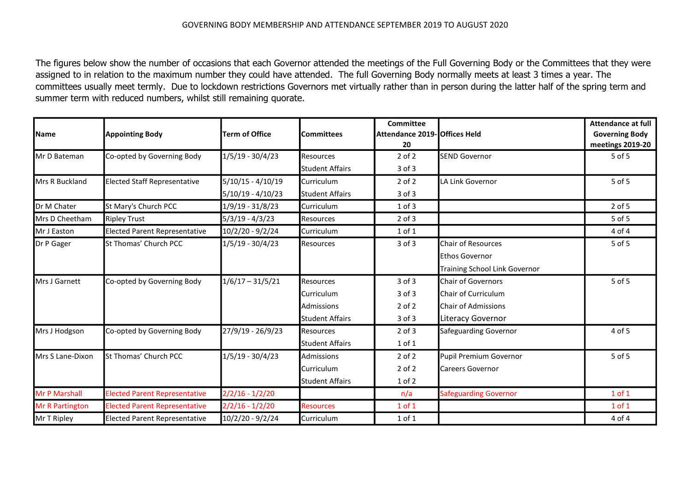## GOVERNING BODY MEMBERSHIP AND ATTENDANCE SEPTEMBER 2019 TO AUGUST 2020

The figures below show the number of occasions that each Governor attended the meetings of the Full Governing Body or the Committees that they were assigned to in relation to the maximum number they could have attended. The full Governing Body normally meets at least 3 times a year. The committees usually meet termly. Due to lockdown restrictions Governors met virtually rather than in person during the latter half of the spring term and summer term with reduced numbers, whilst still remaining quorate.

| <b>Name</b>          | <b>Appointing Body</b>               | <b>Term of Office</b> | <b>Committees</b>      | <b>Committee</b><br>Attendance 2019- Offices Held |                               | <b>Attendance at full</b><br><b>Governing Body</b> |
|----------------------|--------------------------------------|-----------------------|------------------------|---------------------------------------------------|-------------------------------|----------------------------------------------------|
| Mr D Bateman         | Co-opted by Governing Body           | 1/5/19 - 30/4/23      | <b>Resources</b>       | 20<br>$2$ of $2$                                  | <b>SEND Governor</b>          | meetings 2019-20<br>5 of 5                         |
|                      |                                      |                       | <b>Student Affairs</b> | $3$ of $3$                                        |                               |                                                    |
| Mrs R Buckland       | <b>Elected Staff Representative</b>  | $5/10/15 - 4/10/19$   | Curriculum             | $2$ of $2$                                        | LA Link Governor              | 5 of 5                                             |
|                      |                                      | $5/10/19 - 4/10/23$   | <b>Student Affairs</b> | $3$ of $3$                                        |                               |                                                    |
| Dr M Chater          | St Mary's Church PCC                 | 1/9/19 - 31/8/23      | Curriculum             | $1$ of $3$                                        |                               | $2$ of 5                                           |
| Mrs D Cheetham       | <b>Ripley Trust</b>                  | $5/3/19 - 4/3/23$     | <b>Resources</b>       | $2$ of $3$                                        |                               | 5 of 5                                             |
| Mr J Easton          | <b>Elected Parent Representative</b> | 10/2/20 - 9/2/24      | Curriculum             | $1$ of $1$                                        |                               | 4 of 4                                             |
| Dr P Gager           | St Thomas' Church PCC                | 1/5/19 - 30/4/23      | Resources              | $3$ of $3$                                        | <b>Chair of Resources</b>     | 5 of 5                                             |
|                      |                                      |                       |                        |                                                   | <b>Ethos Governor</b>         |                                                    |
|                      |                                      |                       |                        |                                                   | Training School Link Governor |                                                    |
| Mrs J Garnett        | Co-opted by Governing Body           | $1/6/17 - 31/5/21$    | Resources              | 3 of 3                                            | <b>Chair of Governors</b>     | 5 of 5                                             |
|                      |                                      |                       | Curriculum             | $3$ of $3$                                        | Chair of Curriculum           |                                                    |
|                      |                                      |                       | Admissions             | $2$ of $2$                                        | <b>Chair of Admissions</b>    |                                                    |
|                      |                                      |                       | <b>Student Affairs</b> | $3$ of $3$                                        | Literacy Governor             |                                                    |
| Mrs J Hodgson        | Co-opted by Governing Body           | 27/9/19 - 26/9/23     | <b>Resources</b>       | $2$ of $3$                                        | <b>Safeguarding Governor</b>  | 4 of 5                                             |
|                      |                                      |                       | <b>Student Affairs</b> | $1$ of $1$                                        |                               |                                                    |
| Mrs S Lane-Dixon     | St Thomas' Church PCC                | $1/5/19 - 30/4/23$    | <b>Admissions</b>      | $2$ of $2$                                        | Pupil Premium Governor        | 5 of 5                                             |
|                      |                                      |                       | Curriculum             | $2$ of $2$                                        | <b>Careers Governor</b>       |                                                    |
|                      |                                      |                       | <b>Student Affairs</b> | $1$ of $2$                                        |                               |                                                    |
| <b>Mr P Marshall</b> | <b>Elected Parent Representative</b> | $2/2/16 - 1/2/20$     |                        | n/a                                               | <b>Safeguarding Governor</b>  | $1$ of $1$                                         |
| Mr R Partington      | <b>Elected Parent Representative</b> | $2/2/16 - 1/2/20$     | <b>Resources</b>       | $1$ of $1$                                        |                               | $1$ of $1$                                         |
| Mr T Ripley          | <b>Elected Parent Representative</b> | 10/2/20 - 9/2/24      | Curriculum             | $1$ of $1$                                        |                               | 4 of 4                                             |